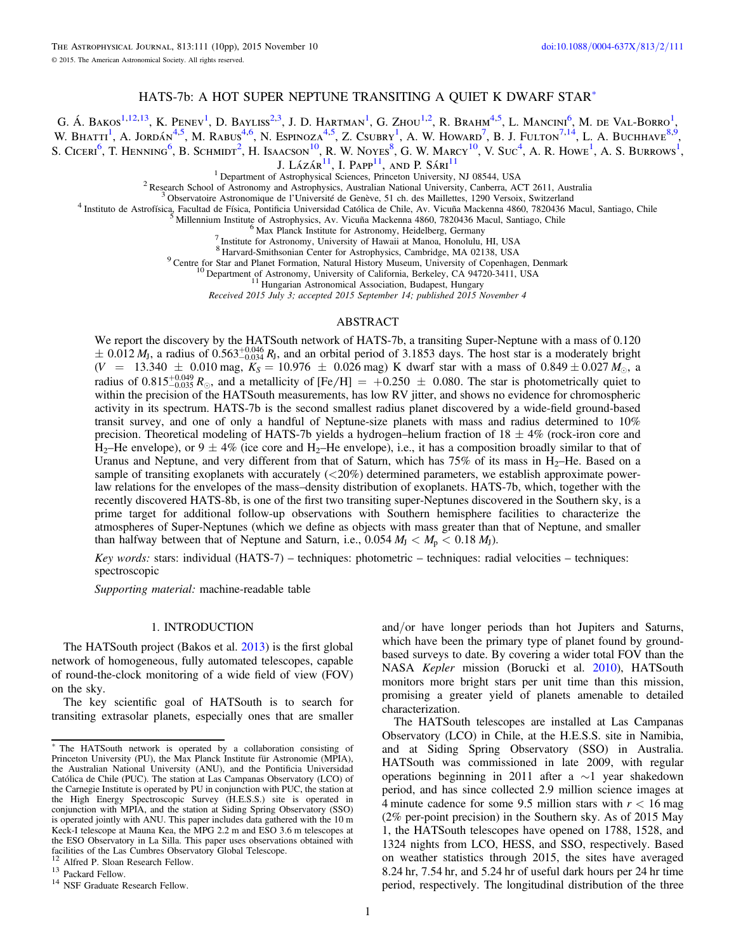# HATS-7b: A HOT SUPER NEPTUNE TRANSITING A QUIET K DWARF STAR[\\*](#page-0-0)

G. Á. BAKOS<sup>[1](#page-0-1)[,12](#page-0-2)[,13](#page-0-3)</sup>, K. Penev<sup>1</sup>, D. Bayliss<sup>[2](#page-0-4)[,3](#page-0-5)</sup>, J. D. Hartman<sup>1</sup>, G. Zhou<sup>1[,2](#page-0-4)</sup>, R. Brahm<sup>[4](#page-0-6)[,5](#page-0-7)</sup>, L. Mancini<sup>[6](#page-0-8)</sup>, M. de Val-Borro<sup>1</sup>,

W. Bhatti<sup>[1](#page-0-1)</sup>, A. Jordán<sup>[4](#page-0-6)[,5](#page-0-7)</sup>, M. Rabus<sup>4[,6](#page-0-8)</sup>, N. Espinoza<sup>4,5</sup>, Z. Csubry<sup>1</sup>, A. W. Howard<sup>[7](#page-0-9)</sup>, B. J. Fulton<sup>7[,14](#page-0-10)</sup>, L. A. Buchhave<sup>[8](#page-0-11)[,9](#page-0-12)</sup>,

<span id="page-0-1"></span>S. Ciceri<sup>[6](#page-0-8)</sup>, T. Henning<sup>6</sup>, B. Schmidt<sup>[2](#page-0-4)</sup>, H. Isaacson<sup>[10](#page-0-13)</sup>, R. W. Noyes<sup>[8](#page-0-11)</sup>, G. W. Marcy<sup>10</sup>, V. Suc<sup>[4](#page-0-6)</sup>, A. R. Howe<sup>[1](#page-0-1)</sup>, A. S. Burrows<sup>1</sup>,

J. Lázár $^{11}$  $^{11}$  $^{11}$ . I. Papp<sup>11</sup>, and P. Sári<sup>11</sup>

<span id="page-0-12"></span><span id="page-0-11"></span><span id="page-0-9"></span><span id="page-0-8"></span><span id="page-0-7"></span><span id="page-0-6"></span><span id="page-0-5"></span><span id="page-0-4"></span><sup>1</sup> Department of Astrophysical Sciences, Princeton University, NJ 08544, USA<br><sup>2</sup> Research School of Astronomy and Astrophysics, Australian National University, Canberra, ACT 2611, Australia<br><sup>3</sup> Observatoire Astronomique

<sup>9</sup> Centre for Star and Planet Formation, Natural History Museum, University of Copenhagen, Denmark <sup>10</sup> Department of Astronomy, University of California, Berkeley, CA 94720-3411, USA <sup>11</sup> Hungarian Astronomical Associat

Received 2015 July 3; accepted 2015 September 14; published 2015 November 4

#### ABSTRACT

<span id="page-0-14"></span><span id="page-0-13"></span>We report the discovery by the HATSouth network of HATS-7b, a transiting Super-Neptune with a mass of 0.120  $\pm$  0.012  $M_J$ , a radius of 0.563<sup> $+0.046$ </sup>, and an orbital period of 3.1853 days. The host star is a moderately bright  $(V = 13.340 \pm 0.010$  mag,  $K_S = 10.976 \pm 0.026$  mag) K dwarf star with a mass of  $0.849 \pm 0.027$   $M_{\odot}$ , a radius of  $0.815^{+0.049}_{-0.035} R_{\odot}$ , and a metallicity of [Fe/H] =  $+0.250 \pm 0.080$ . The star is photometrically quiet to within the precision of the HATSouth measurements, has low RV jitter, and shows no evidence for chromospheric activity in its spectrum. HATS-7b is the second smallest radius planet discovered by a wide-field ground-based transit survey, and one of only a handful of Neptune-size planets with mass and radius determined to 10% precision. Theoretical modeling of HATS-7b yields a hydrogen–helium fraction of  $18 \pm 4\%$  (rock-iron core and  $H_2$ –He envelope), or  $9 \pm 4\%$  (ice core and  $H_2$ –He envelope), i.e., it has a composition broadly similar to that of Uranus and Neptune, and very different from that of Saturn, which has  $75\%$  of its mass in H<sub>2</sub>–He. Based on a sample of transiting exoplanets with accurately (<20%) determined parameters, we establish approximate powerlaw relations for the envelopes of the mass–density distribution of exoplanets. HATS-7b, which, together with the recently discovered HATS-8b, is one of the first two transiting super-Neptunes discovered in the Southern sky, is a prime target for additional follow-up observations with Southern hemisphere facilities to characterize the atmospheres of Super-Neptunes (which we define as objects with mass greater than that of Neptune, and smaller than halfway between that of Neptune and Saturn, i.e.,  $0.054 M_J < M_p < 0.18 M_J$ ).

Key words: stars: individual (HATS-7) – techniques: photometric – techniques: radial velocities – techniques: spectroscopic

Supporting material: machine-readable table

## 1. INTRODUCTION

The HATSouth project (Bakos et al. [2013](#page-9-0)) is the first global network of homogeneous, fully automated telescopes, capable of round-the-clock monitoring of a wide field of view (FOV) on the sky.

The key scientific goal of HATSouth is to search for transiting extrasolar planets, especially ones that are smaller

<span id="page-0-2"></span><sup>12</sup> Alfred P. Sloan Research Fellow.<br><sup>13</sup> Packard Fellow.<br><sup>14</sup> NSF Graduate Research Fellow.

<span id="page-0-3"></span>

and/or have longer periods than hot Jupiters and Saturns, which have been the primary type of planet found by groundbased surveys to date. By covering a wider total FOV than the NASA Kepler mission (Borucki et al. [2010](#page-9-1)), HATSouth monitors more bright stars per unit time than this mission, promising a greater yield of planets amenable to detailed characterization.

The HATSouth telescopes are installed at Las Campanas Observatory (LCO) in Chile, at the H.E.S.S. site in Namibia, and at Siding Spring Observatory (SSO) in Australia. HATSouth was commissioned in late 2009, with regular operations beginning in 2011 after a ∼1 year shakedown period, and has since collected 2.9 million science images at 4 minute cadence for some 9.5 million stars with  $r < 16$  mag (2% per-point precision) in the Southern sky. As of 2015 May 1, the HATSouth telescopes have opened on 1788, 1528, and 1324 nights from LCO, HESS, and SSO, respectively. Based on weather statistics through 2015, the sites have averaged 8.24 hr, 7.54 hr, and 5.24 hr of useful dark hours per 24 hr time period, respectively. The longitudinal distribution of the three

<span id="page-0-0"></span><sup>\*</sup> The HATSouth network is operated by a collaboration consisting of Princeton University (PU), the Max Planck Institute für Astronomie (MPIA), the Australian National University (ANU), and the Pontificia Universidad Católica de Chile (PUC). The station at Las Campanas Observatory (LCO) of the Carnegie Institute is operated by PU in conjunction with PUC, the station at the High Energy Spectroscopic Survey (H.E.S.S.) site is operated in conjunction with MPIA, and the station at Siding Spring Observatory (SSO) is operated jointly with ANU. This paper includes data gathered with the 10 m Keck-I telescope at Mauna Kea, the MPG 2.2 m and ESO 3.6 m telescopes at the ESO Observatory in La Silla. This paper uses observations obtained with facilities of the Las Cumbres Observatory Global Telescope.

<span id="page-0-10"></span>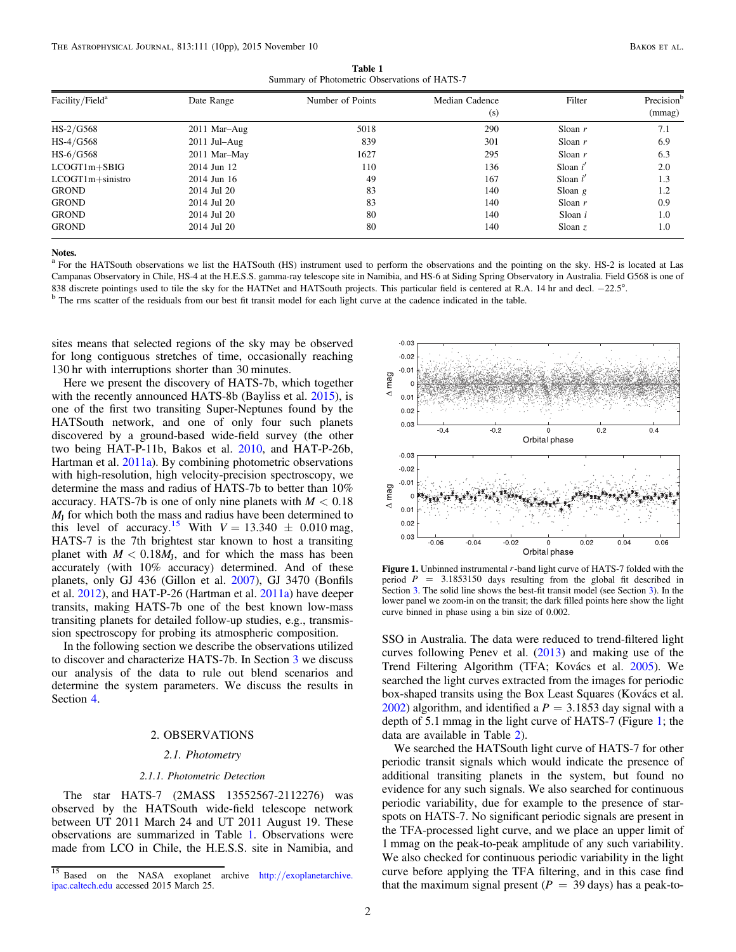Table 1 Summary of Photometric Observations of HATS-7

<span id="page-1-1"></span>

| Facility/Field <sup>a</sup> | Date Range     | Number of Points | Median Cadence<br>(s) | Filter     | Precision <sup>b</sup><br>(mmag) |
|-----------------------------|----------------|------------------|-----------------------|------------|----------------------------------|
| $HS-2/G568$                 | 2011 Mar-Aug   | 5018             | 290                   | Sloan $r$  | 7.1                              |
| $HS-4/G568$                 | $2011$ Jul–Aug | 839              | 301                   | Sloan $r$  | 6.9                              |
| $HS-6/G568$                 | 2011 Mar-May   | 1627             | 295                   | Sloan $r$  | 6.3                              |
| $LCOGT1m + SBIG$            | 2014 Jun 12    | 110              | 136                   | Sloan $i'$ | 2.0                              |
| $LCOGT1m +$ sinistro        | 2014 Jun 16    | 49               | 167                   | Sloan $i'$ | 1.3                              |
| <b>GROND</b>                | 2014 Jul 20    | 83               | 140                   | Sloan $g$  | 1.2                              |
| <b>GROND</b>                | 2014 Jul 20    | 83               | 140                   | Sloan $r$  | 0.9                              |
| <b>GROND</b>                | 2014 Jul 20    | 80               | 140                   | Sloan $i$  | 1.0                              |
| <b>GROND</b>                | 2014 Jul 20    | 80               | 140                   | Sloan $z$  | 1.0                              |

<sup>a</sup> For the HATSouth observations we list the HATSouth (HS) instrument used to perform the observations and the pointing on the sky. HS-2 is located at Las Campanas Observatory in Chile, HS-4 at the H.E.S.S. gamma-ray telescope site in Namibia, and HS-6 at Siding Spring Observatory in Australia. Field G568 is one of 838 discrete pointings used to tile the sky for the HATNet and HATSouth projects. This particular field is centered at R.A. 14 hr and decl.  $-22.5^{\circ}$ .<br><sup>b</sup> The rms scatter of the residuals from our best fit transit model

sites means that selected regions of the sky may be observed for long contiguous stretches of time, occasionally reaching 130 hr with interruptions shorter than 30 minutes.

Here we present the discovery of HATS-7b, which together with the recently announced HATS-8b (Bayliss et al. [2015](#page-9-2)), is one of the first two transiting Super-Neptunes found by the HATSouth network, and one of only four such planets discovered by a ground-based wide-field survey (the other two being HAT-P-11b, Bakos et al. [2010](#page-9-3), and HAT-P-26b, Hartman et al. [2011a](#page-9-4)). By combining photometric observations with high-resolution, high velocity-precision spectroscopy, we determine the mass and radius of HATS-7b to better than 10% accuracy. HATS-7b is one of only nine planets with  $M < 0.18$ *M*<sup>J</sup> for which both the mass and radius have been determined to this level of accuracy.<sup>[15](#page-1-0)</sup> With  $V = 13.340 \pm 0.010$  mag, HATS-7 is the 7th brightest star known to host a transiting planet with  $M < 0.18M<sub>J</sub>$ , and for which the mass has been accurately (with 10% accuracy) determined. And of these planets, only GJ 436 (Gillon et al. [2007](#page-9-5)), GJ 3470 (Bonfils et al. [2012](#page-9-6)), and HAT-P-26 (Hartman et al. [2011a](#page-9-4)) have deeper transits, making HATS-7b one of the best known low-mass transiting planets for detailed follow-up studies, e.g., transmission spectroscopy for probing its atmospheric composition.

In the following section we describe the observations utilized to discover and characterize HATS-7b. In Section [3](#page-2-0) we discuss our analysis of the data to rule out blend scenarios and determine the system parameters. We discuss the results in Section [4.](#page-5-0)

# 2. OBSERVATIONS

## 2.1. Photometry

#### 2.1.1. Photometric Detection

The star HATS-7 (2MASS 13552567-2112276) was observed by the HATSouth wide-field telescope network between UT 2011 March 24 and UT 2011 August 19. These observations are summarized in Table [1](#page-1-1). Observations were made from LCO in Chile, the H.E.S.S. site in Namibia, and

<span id="page-1-2"></span>

Figure 1. Unbinned instrumental *<sup>r</sup>*-band light curve of HATS-7 folded with the period  $P = 3.1853150$  days resulting from the global fit described in Section [3.](#page-2-0) The solid line shows the best-fit transit model (see Section [3](#page-2-0)). In the lower panel we zoom-in on the transit; the dark filled points here show the light curve binned in phase using a bin size of 0.002.

SSO in Australia. The data were reduced to trend-filtered light curves following Penev et al. ([2013](#page-9-7)) and making use of the Trend Filtering Algorithm (TFA; Kovács et al. [2005](#page-9-8)). We searched the light curves extracted from the images for periodic box-shaped transits using the Box Least Squares (Kovács et al.  $2002$ ) algorithm, and identified a  $P = 3.1853$  day signal with a depth of 5.1 mmag in the light curve of HATS-7 (Figure [1](#page-1-2); the data are available in Table [2](#page-2-1)).

We searched the HATSouth light curve of HATS-7 for other periodic transit signals which would indicate the presence of additional transiting planets in the system, but found no evidence for any such signals. We also searched for continuous periodic variability, due for example to the presence of starspots on HATS-7. No significant periodic signals are present in the TFA-processed light curve, and we place an upper limit of 1 mmag on the peak-to-peak amplitude of any such variability. We also checked for continuous periodic variability in the light curve before applying the TFA filtering, and in this case find that the maximum signal present ( $P = 39$  days) has a peak-to-

<span id="page-1-0"></span><sup>&</sup>lt;sup>15</sup> Based on the NASA exoplanet archive http://[exoplanetarchive.](http://exoplanetarchive.ipac.caltech.edu) [ipac.caltech.edu](http://exoplanetarchive.ipac.caltech.edu) accessed 2015 March 25.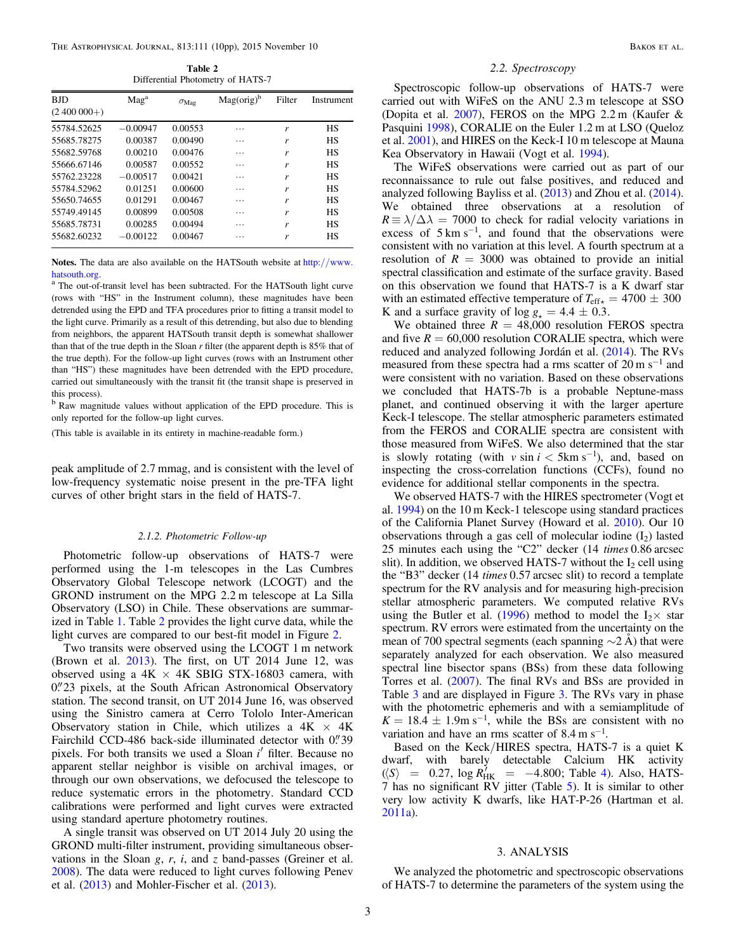Table 2 Differential Photometry of HATS-7

<span id="page-2-1"></span>

| <b>BJD</b>     | Mag <sup>a</sup> | $\sigma_{\text{Mag}}$ | $Mag(orig)^b$ | Filter | Instrument |
|----------------|------------------|-----------------------|---------------|--------|------------|
| $(2,400,000+)$ |                  |                       |               |        |            |
| 55784.52625    | $-0.00947$       | 0.00553               | .             | r      | HS         |
| 55685.78275    | 0.00387          | 0.00490               | .             | r      | HS         |
| 55682.59768    | 0.00210          | 0.00476               | .             | r      | <b>HS</b>  |
| 55666.67146    | 0.00587          | 0.00552               | .             | r      | <b>HS</b>  |
| 55762.23228    | $-0.00517$       | 0.00421               | .             | r      | HS         |
| 55784.52962    | 0.01251          | 0.00600               | .             | r      | <b>HS</b>  |
| 55650.74655    | 0.01291          | 0.00467               | .             | r      | <b>HS</b>  |
| 55749.49145    | 0.00899          | 0.00508               | .             | r      | <b>HS</b>  |
| 55685.78731    | 0.00285          | 0.00494               | .             | r      | <b>HS</b>  |
| 55682.60232    | $-0.00122$       | 0.00467               | .             | r      | HS         |

Notes. The data are also available on the HATSouth website at http://[www.](http://www.hatsouth.org)hatsouth.org.

<sup>a</sup> The out-of-transit level has been subtracted. For the HATSouth light curve (rows with "HS" in the Instrument column), these magnitudes have been detrended using the EPD and TFA procedures prior to fitting a transit model to the light curve. Primarily as a result of this detrending, but also due to blending from neighbors, the apparent HATSouth transit depth is somewhat shallower than that of the true depth in the Sloan  $r$  filter (the apparent depth is  $85\%$  that of the true depth). For the follow-up light curves (rows with an Instrument other than "HS") these magnitudes have been detrended with the EPD procedure, carried out simultaneously with the transit fit (the transit shape is preserved in this process).  $\frac{b}{b}$  Raw magnitude values without application of the EPD procedure. This is

only reported for the follow-up light curves.

(This table is available in its entirety in machine-readable form.)

peak amplitude of 2.7 mmag, and is consistent with the level of low-frequency systematic noise present in the pre-TFA light curves of other bright stars in the field of HATS-7.

#### 2.1.2. Photometric Follow-up

Photometric follow-up observations of HATS-7 were performed using the 1-m telescopes in the Las Cumbres Observatory Global Telescope network (LCOGT) and the GROND instrument on the MPG 2.2 m telescope at La Silla Observatory (LSO) in Chile. These observations are summarized in Table [1](#page-1-1). Table [2](#page-2-1) provides the light curve data, while the light curves are compared to our best-fit model in Figure [2](#page-3-0).

Two transits were observed using the LCOGT 1 m network (Brown et al. [2013](#page-9-10)). The first, on UT 2014 June 12, was observed using a  $4K \times 4K$  SBIG STX-16803 camera, with 0."23 pixels, at the South African Astronomical Observatory station. The second transit, on UT 2014 June 16, was observed using the Sinistro camera at Cerro Tololo Inter-American Observatory station in Chile, which utilizes a  $4K \times 4K$ Fairchild CCD-486 back-side illuminated detector with 0."39 pixels. For both transits we used a Sloan *i*¢ filter. Because no apparent stellar neighbor is visible on archival images, or through our own observations, we defocused the telescope to reduce systematic errors in the photometry. Standard CCD calibrations were performed and light curves were extracted using standard aperture photometry routines.

A single transit was observed on UT 2014 July 20 using the GROND multi-filter instrument, providing simultaneous observations in the Sloan  $g, r, i$ , and  $z$  band-passes (Greiner et al. [2008](#page-9-11)). The data were reduced to light curves following Penev et al. ([2013](#page-9-7)) and Mohler-Fischer et al. ([2013](#page-9-12)).

## 2.2. Spectroscopy

Spectroscopic follow-up observations of HATS-7 were carried out with WiFeS on the ANU 2.3 m telescope at SSO (Dopita et al. [2007](#page-9-13)), FEROS on the MPG 2.2 m (Kaufer & Pasquini [1998](#page-9-14)), CORALIE on the Euler 1.2 m at LSO (Queloz et al. [2001](#page-9-15)), and HIRES on the Keck-I 10 m telescope at Mauna Kea Observatory in Hawaii (Vogt et al. [1994](#page-9-16)).

The WiFeS observations were carried out as part of our reconnaissance to rule out false positives, and reduced and analyzed following Bayliss et al. ([2013](#page-9-17)) and Zhou et al. ([2014](#page-9-18)). We obtained three observations at a resolution of  $R = \lambda/\Delta\lambda = 7000$  to check for radial velocity variations in excess of  $5 \text{ km s}^{-1}$ , and found that the observations were consistent with no variation at this level. A fourth spectrum at a resolution of  $R = 3000$  was obtained to provide an initial spectral classification and estimate of the surface gravity. Based on this observation we found that HATS-7 is a K dwarf star with an estimated effective temperature of  $T_{\text{eff}\star} = 4700 \pm 300$ K and a surface gravity of  $\log g_* = 4.4 \pm 0.3$ .

We obtained three  $R = 48,000$  resolution FEROS spectra and five  $R = 60,000$  resolution CORALIE spectra, which were reduced and analyzed following Jordán et al. ([2014](#page-9-19)). The RVs measured from these spectra had a rms scatter of  $20 \text{ m s}^{-1}$  and were consistent with no variation. Based on these observations we concluded that HATS-7b is a probable Neptune-mass planet, and continued observing it with the larger aperture Keck-I telescope. The stellar atmospheric parameters estimated from the FEROS and CORALIE spectra are consistent with those measured from WiFeS. We also determined that the star is slowly rotating (with  $v \sin i < 5 \text{km s}^{-1}$ ), and, based on inspecting the cross-correlation functions (CCFs), found no evidence for additional stellar components in the spectra.

We observed HATS-7 with the HIRES spectrometer (Vogt et al. [1994](#page-9-16)) on the 10 m Keck-1 telescope using standard practices of the California Planet Survey (Howard et al. [2010](#page-9-20)). Our 10 observations through a gas cell of molecular iodine  $(I_2)$  lasted 25 minutes each using the "C2" decker (14 times 0.86 arcsec slit). In addition, we observed HATS-7 without the  $I_2$  cell using the "B3" decker (14 times 0.57 arcsec slit) to record a template spectrum for the RV analysis and for measuring high-precision stellar atmospheric parameters. We computed relative RVs using the Butler et al. ([1996](#page-9-21)) method to model the  $I_2 \times$  star spectrum. RV errors were estimated from the uncertainty on the mean of 700 spectral segments (each spanning  $\sim$ 2 Å) that were separately analyzed for each observation. We also measured spectral line bisector spans (BSs) from these data following Torres et al. ([2007](#page-9-22)). The final RVs and BSs are provided in Table [3](#page-3-1) and are displayed in Figure [3.](#page-3-2) The RVs vary in phase with the photometric ephemeris and with a semiamplitude of  $K = 18.4 \pm 1.9$ m s<sup>-1</sup>, while the BSs are consistent with no variation and have an rms scatter of  $8.4 \text{ m s}^{-1}$ .

Based on the Keck/HIRES spectra, HATS-7 is a quiet K dwarf, with barely detectable Calcium HK activity  $(\langle S \rangle = 0.27, \log R_{HK}^{7} = -4.800;$  $(\langle S \rangle = 0.27, \log R_{HK}^{7} = -4.800;$  $(\langle S \rangle = 0.27, \log R_{HK}^{7} = -4.800;$  Table 4). Also, HATS-7 has no significant RV jitter (Table [5](#page-4-1)). It is similar to other very low activity K dwarfs, like HAT-P-26 (Hartman et al. [2011a](#page-9-4)).

# 3. ANALYSIS

<span id="page-2-0"></span>We analyzed the photometric and spectroscopic observations of HATS-7 to determine the parameters of the system using the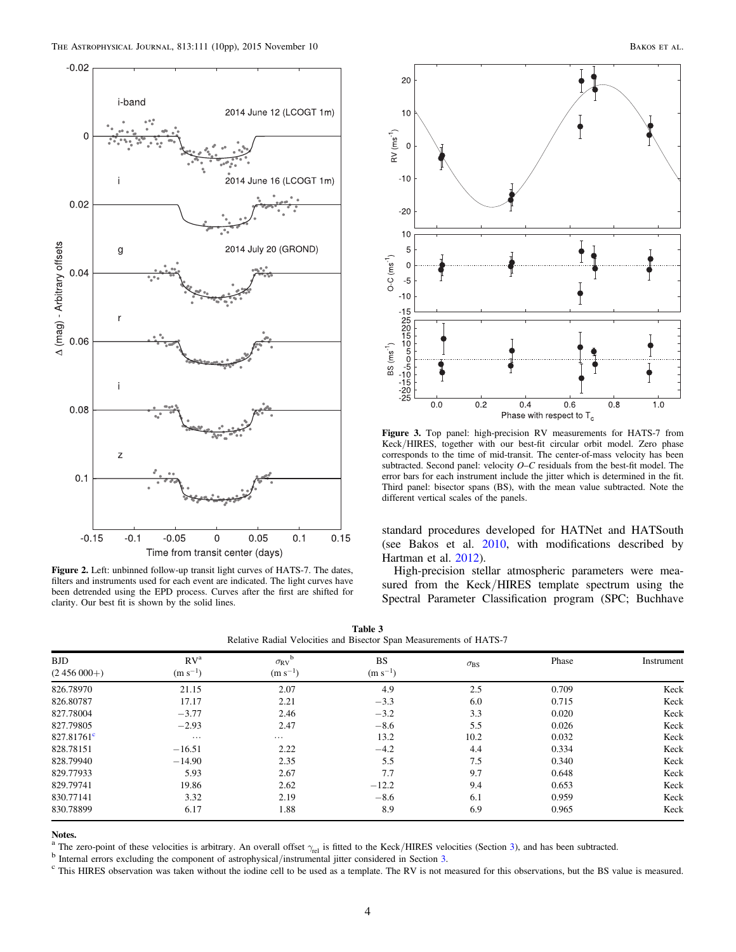<span id="page-3-0"></span>

<span id="page-3-1"></span>Figure 2. Left: unbinned follow-up transit light curves of HATS-7. The dates, filters and instruments used for each event are indicated. The light curves have been detrended using the EPD process. Curves after the first are shifted for clarity. Our best fit is shown by the solid lines.

<span id="page-3-2"></span>

Figure 3. Top panel: high-precision RV measurements for HATS-7 from Keck/HIRES, together with our best-fit circular orbit model. Zero phase corresponds to the time of mid-transit. The center-of-mass velocity has been subtracted. Second panel: velocity  $O-C$  residuals from the best-fit model. The error bars for each instrument include the jitter which is determined in the fit. Third panel: bisector spans (BS), with the mean value subtracted. Note the different vertical scales of the panels.

standard procedures developed for HATNet and HATSouth (see Bakos et al. [2010](#page-9-3), with modifications described by Hartman et al. [2012](#page-9-23)).

High-precision stellar atmospheric parameters were measured from the Keck/HIRES template spectrum using the Spectral Parameter Classification program (SPC; Buchhave

|  |  | Table 3 |                                                                     |  |
|--|--|---------|---------------------------------------------------------------------|--|
|  |  |         | Relative Radial Velocities and Bisector Span Measurements of HATS-7 |  |

| <b>BJD</b>          | RV <sup>a</sup> | b<br>$\sigma_{\rm RV}$ | <b>BS</b>    | $\sigma_{\rm BS}$ | Phase | Instrument |
|---------------------|-----------------|------------------------|--------------|-------------------|-------|------------|
| $(2456000+)$        | $(m s^{-1})$    | $(m s^{-1})$           | $(m s^{-1})$ |                   |       |            |
| 826.78970           | 21.15           | 2.07                   | 4.9          | 2.5               | 0.709 | Keck       |
| 826.80787           | 17.17           | 2.21                   | $-3.3$       | 6.0               | 0.715 | Keck       |
| 827.78004           | $-3.77$         | 2.46                   | $-3.2$       | 3.3               | 0.020 | Keck       |
| 827.79805           | $-2.93$         | 2.47                   | $-8.6$       | 5.5               | 0.026 | Keck       |
| $827.81761^{\circ}$ | $\cdots$        | $\cdots$               | 13.2         | 10.2              | 0.032 | Keck       |
| 828.78151           | $-16.51$        | 2.22                   | $-4.2$       | 4.4               | 0.334 | Keck       |
| 828.79940           | $-14.90$        | 2.35                   | 5.5          | 7.5               | 0.340 | Keck       |
| 829.77933           | 5.93            | 2.67                   | 7.7          | 9.7               | 0.648 | Keck       |
| 829.79741           | 19.86           | 2.62                   | $-12.2$      | 9.4               | 0.653 | Keck       |
| 830.77141           | 3.32            | 2.19                   | $-8.6$       | 6.1               | 0.959 | Keck       |
| 830.78899           | 6.17            | 1.88                   | 8.9          | 6.9               | 0.965 | Keck       |

<sup>a</sup> The zero-point of these velocities is arbitrary. An overall offset  $\gamma_{rel}$  is fitted to the Keck/HIRES velocities (Section [3](#page-2-0)), and has been subtracted.<br><sup>b</sup> Internal errors excluding the component of astrophysical/inst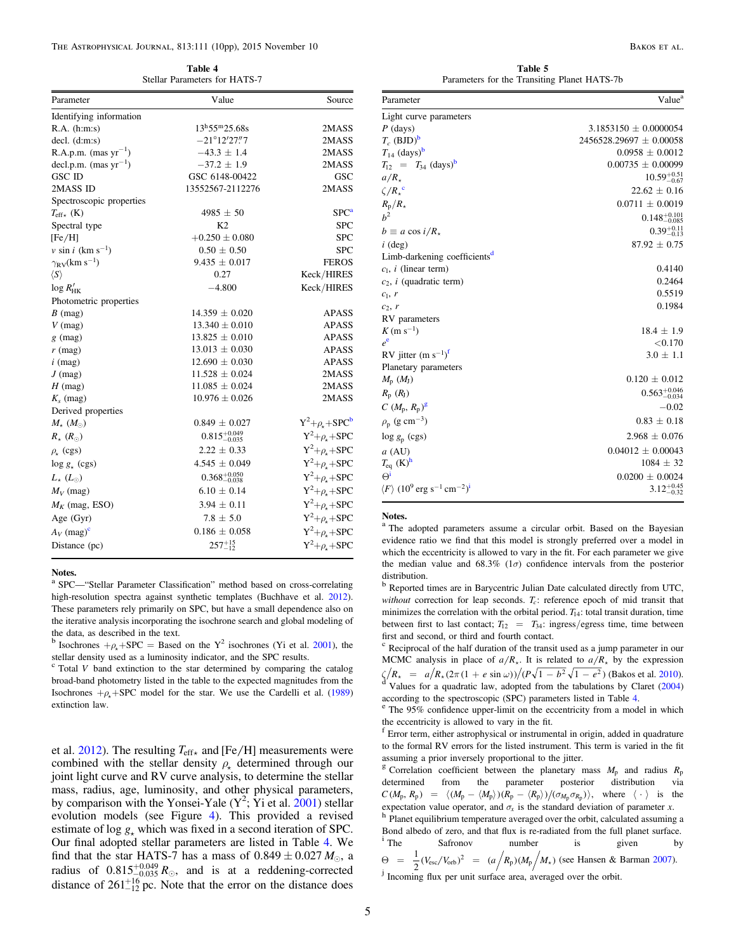Table 4 Stellar Parameters for HATS-7

<span id="page-4-0"></span>

| Parameter                               | Value                              | Source                   |
|-----------------------------------------|------------------------------------|--------------------------|
| Identifying information                 |                                    |                          |
| $R.A.$ (h:m:s)                          | $13^{\rm h}55^{\rm m}25.68{\rm s}$ | 2MASS                    |
| $decl.$ (d:m:s)                         | $-21^{\circ}12'27''7$              | 2MASS                    |
| R.A.p.m. $(max yr^{-1})$                | $-43.3 \pm 1.4$                    | 2MASS                    |
| decl.p.m. $(mas yr^{-1})$               | $-37.2 \pm 1.9$                    | 2MASS                    |
| <b>GSC ID</b>                           | GSC 6148-00422                     | GSC                      |
| 2MASS ID                                | 13552567-2112276                   | 2MASS                    |
| Spectroscopic properties                |                                    |                          |
| $T_{\rm eff\star}$ (K)                  | $4985 \pm 50$                      | SPC <sup>a</sup>         |
| Spectral type                           | K <sub>2</sub>                     | <b>SPC</b>               |
| [Fe/H]                                  | $+0.250 \pm 0.080$                 | <b>SPC</b>               |
| $v \sin i$ (km s <sup>-1</sup> )        | $0.50 \pm 0.50$                    | <b>SPC</b>               |
| $\gamma_{\rm RV}$ (km s <sup>-1</sup> ) | $9.435 \pm 0.017$                  | <b>FEROS</b>             |
| $\langle S \rangle$                     | 0.27                               | Keck/HIRES               |
| $\log R'_{HK}$                          | $-4.800$                           | Keck/HIRES               |
| Photometric properties                  |                                    |                          |
| $B \text{ (mag)}$                       | $14.359 \pm 0.020$                 | <b>APASS</b>             |
| $V$ (mag)                               | $13.340 \pm 0.010$                 | APASS                    |
| $g$ (mag)                               | $13.825 \pm 0.010$                 | <b>APASS</b>             |
| $r$ (mag)                               | $13.013 \pm 0.030$                 | APASS                    |
| $i \text{ (mag)}$                       | $12.690 \pm 0.030$                 | <b>APASS</b>             |
| $J$ (mag)                               | $11.528 \pm 0.024$                 | 2MASS                    |
| $H$ (mag)                               | $11.085 \pm 0.024$                 | 2MASS                    |
| $K_s$ (mag)                             | $10.976 \pm 0.026$                 | 2MASS                    |
| Derived properties                      |                                    |                          |
| $M_{\star}$ $(M_{\odot})$               | $0.849 \pm 0.027$                  | $Y^2+\rho_{\star}+SPC^b$ |
| $R_{\star}$ ( $R_{\odot}$ )             | $0.815_{-0.035}^{+0.049}$          | $Y^2+\rho_{\star}+SPC$   |
| $\rho_{\star}$ (cgs)                    | $2.22 \pm 0.33$                    | $Y^2+\rho_{\star}+SPC$   |
| $\log g_*$ (cgs)                        | $4.545 \pm 0.049$                  | $Y^2+\rho_{\star}+SPC$   |
| $L_{\star}$ ( $L_{\odot}$ )             | $0.368_{-0.038}^{+0.050}$          | $Y^2+\rho_{\star}+SPC$   |
| $M_V$ (mag)                             | $6.10 \pm 0.14$                    | $Y^2+\rho_{\star}+SPC$   |
| $M_K$ (mag, ESO)                        | $3.94 \pm 0.11$                    | $Y^2+\rho_{\star}+SPC$   |
| Age $(Gyr)$                             | $7.8 \pm 5.0$                      | $Y^2+\rho_{\star}+SPC$   |
| $A_V$ (mag) <sup>c</sup>                | $0.186 \pm 0.058$                  | $Y^2+\rho_{\star}+SPC$   |
| Distance (pc)                           | $257^{+15}_{-12}$                  | $Y^2+\rho_{\star}+SPC$   |

#### Notes.

<sup>a</sup> SPC—"Stellar Parameter Classification" method based on cross-correlating high-resolution spectra against synthetic templates (Buchhave et al. [2012](#page-9-24)). These parameters rely primarily on SPC, but have a small dependence also on the iterative analysis incorporating the isochrone search and global modeling of the data, as described in the text.

<sup>b</sup> Isochrones  $+\rho$ +SPC = Based on the Y<sup>2</sup> isochrones (Yi et al. [2001](#page-9-25)), the stellar density used as a luminosity indicator, and the SPC results.

 $c$  Total *V* band extinction to the star determined by comparing the catalog broad-band photometry listed in the table to the expected magnitudes from the Isochrones  $+\rho_{+}$ +SPC model for the star. We use the Cardelli et al. ([1989](#page-9-26)) extinction law.

et al. [2012](#page-9-24)). The resulting  $T_{\text{eff}\star}$  and [Fe/H] measurements were combined with the stellar density  $\rho_{\tau}$  determined through our joint light curve and RV curve analysis, to determine the stellar mass, radius, age, luminosity, and other physical parameters, by comparison with the Yonsei-Yale  $(Y^2; Y)$  et al. [2001](#page-9-25)) stellar evolution models (see Figure [4](#page-5-1)). This provided a revised estimate of log  $g_{\downarrow}$  which was fixed in a second iteration of SPC. Our final adopted stellar parameters are listed in Table [4](#page-4-0). We find that the star HATS-7 has a mass of  $0.849 \pm 0.027 M_{\odot}$ , a radius of  $0.815^{+0.049}_{-0.035} R_{\odot}$ , and is at a reddening-corrected distance of  $261_{-12}^{+16}$  pc. Note that the error on the distance does

Table 5 Parameters for the Transiting Planet HATS-7b

<span id="page-4-1"></span>

| Parameter                                                                                | Value <sup>a</sup>          |  |  |
|------------------------------------------------------------------------------------------|-----------------------------|--|--|
| Light curve parameters                                                                   |                             |  |  |
| $P$ (days)                                                                               | $3.1853150 \pm 0.0000054$   |  |  |
| $T_c$ (BJD) <sup>b</sup>                                                                 | $2456528.29697 \pm 0.00058$ |  |  |
| $T_{14}$ (days) <sup>b</sup>                                                             | $0.0958 \pm 0.0012$         |  |  |
| $T_{12} = T_{34}$ (days) <sup>b</sup>                                                    | $0.00735 \pm 0.00099$       |  |  |
| $a/R_{\star}$                                                                            | $10.59_{-0.67}^{+0.51}$     |  |  |
| $\zeta/R_{\star}^{\circ}$                                                                | $22.62 \pm 0.16$            |  |  |
| $R_{\rm p}/R_{\star}$                                                                    | $0.0711 \pm 0.0019$         |  |  |
| h <sup>2</sup>                                                                           | $0.148_{-0.085}^{+0.101}$   |  |  |
| $b \equiv a \cos i/R_*$                                                                  | $0.39_{-0.13}^{+0.11}$      |  |  |
| $i$ (deg)                                                                                | $87.92 \pm 0.75$            |  |  |
| Limb-darkening coefficients <sup>d</sup>                                                 |                             |  |  |
| $c_1$ , <i>i</i> (linear term)                                                           | 0.4140                      |  |  |
| $c_2$ , <i>i</i> (quadratic term)                                                        | 0.2464                      |  |  |
| $c_1, r$                                                                                 | 0.5519                      |  |  |
| $c_2, r$                                                                                 | 0.1984                      |  |  |
| RV parameters                                                                            |                             |  |  |
| $K(m s^{-1})$                                                                            | $18.4 \pm 1.9$              |  |  |
| $e^e$                                                                                    | ${<}0.170$                  |  |  |
| RV jitter $(m s^{-1})^T$                                                                 | $3.0 \pm 1.1$               |  |  |
| Planetary parameters                                                                     |                             |  |  |
| $M_{\rm p}$ $(M_{\rm J})$                                                                | $0.120 \pm 0.012$           |  |  |
| $R_{\rm p}$ $(R_{\rm J})$                                                                | $0.563_{-0.034}^{+0.046}$   |  |  |
| $C~(M_{\rm p}, R_{\rm p})^{\rm g}$                                                       | $-0.02$                     |  |  |
| $\rho_{\rm p}$ (g cm <sup>-3</sup> )                                                     | $0.83 \pm 0.18$             |  |  |
| $log g_p (cgs)$                                                                          | $2.968 \pm 0.076$           |  |  |
| $a$ (AU)                                                                                 | $0.04012 \pm 0.00043$       |  |  |
| $T_{eq}$ (K) <sup>h</sup>                                                                | $1084 \pm 32$               |  |  |
| $\Theta^i$                                                                               | $0.0200 \pm 0.0024$         |  |  |
| $\langle F \rangle$ (10 <sup>9</sup> erg s <sup>-1</sup> cm <sup>-2</sup> ) <sup>i</sup> | $3.12_{-0.32}^{+0.45}$      |  |  |

Notes.

<sup>a</sup> The adopted parameters assume a circular orbit. Based on the Bayesian evidence ratio we find that this model is strongly preferred over a model in which the eccentricity is allowed to vary in the fit. For each parameter we give the median value and 68.3% ( $1\sigma$ ) confidence intervals from the posterior distribution.

<sup>b</sup> Reported times are in Barycentric Julian Date calculated directly from UTC, without correction for leap seconds.  $T_c$ : reference epoch of mid transit that minimizes the correlation with the orbital period.  $T_{14}$ : total transit duration, time between first to last contact;  $T_{12} = T_{34}$ : ingress/egress time, time between first and second, or third and fourth contact.

 $\epsilon$  Reciprocal of the half duration of the transit used as a jump parameter in our MCMC analysis in place of  $a/R_{\star}$ . It is related to  $a/R_{\star}$  by the expression  $\zeta/R_{\star} = a/R_{\star}(2\pi(1 + e \sin \omega))/(P\sqrt{1 - b^2}\sqrt{1 - e^2})$  (Bakos et al. [2010](#page-9-3)).<br><sup>d</sup> Values for a quadratic law, adopted from the tabulations by Claret ([2004](#page-9-27))

according to the spectroscopic (SPC) parameters listed in Table [4](#page-4-0).  $e^e$  The 95% confidence upper-limit on the eccentricity from a model in which the eccentricity is allowed to vary in the fit.<br> $f$  Error term, either astrophysical or instrumental in origin, added in quadrature

to the formal RV errors for the listed instrument. This term is varied in the fit assuming a prior inversely proportional to the jitter.

<sup>g</sup> Correlation coefficient between the planetary mass  $M_p$  and radius  $R_p$ determined from the parameter posterior distribution via  $C (M_{\rm p}, R_{\rm p}) = \langle (M_{\rm p} - \langle M_{\rm p} \rangle) (R_{\rm p} - \langle R_{\rm p} \rangle) / (\sigma_{M_{\rm p}} \sigma_{R_{\rm p}}) \rangle$ , where  $\langle \cdot \rangle$  is the expectation value operator, and  $\sigma_x$  is the standard deviation of parameter *x*. <sup>h</sup> Planet equilibrium temperature averaged over the orbit, calculated assuming a Bond albedo of zero, and that flux is re-radiated from the full planet surface.<br>
<sup>i</sup> The Safronov number is given by Safronov  $\Theta = \frac{1}{2} (V_{\rm esc}/V_{\rm orb})^2 = (a \Big/ R_{\rm p}) (M_{\rm p} \Big/ M_{\star})$  (see Hansen & Barman [2007](#page-9-28)).

<sup>j</sup> Incoming flux per unit surface area, averaged over the orbit.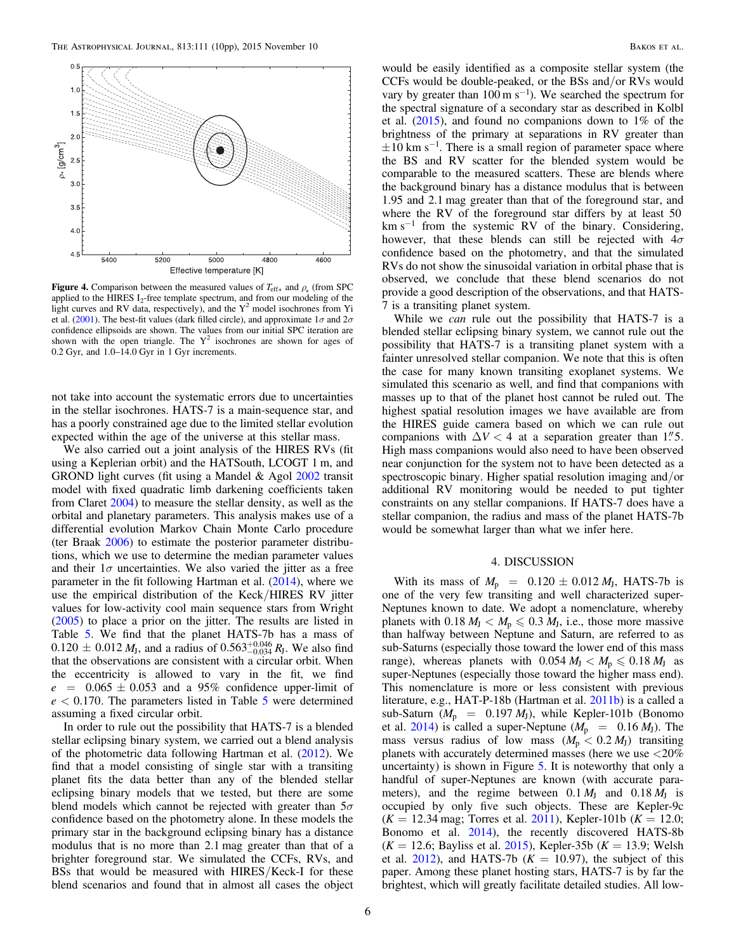<span id="page-5-1"></span>

**Figure 4.** Comparison between the measured values of  $T_{\text{eff}\star}$  and  $\rho_{\star}$  (from SPC applied to the HIRES  $I_2$ -free template spectrum, and from our modeling of the light curves and RV data, respectively), and the  $Y^2$  model isochrones from Yi et al. ([2001](#page-9-25)). The best-fit values (dark filled circle), and approximate  $1\sigma$  and  $2\sigma$ confidence ellipsoids are shown. The values from our initial SPC iteration are shown with the open triangle. The  $Y^2$  isochrones are shown for ages of 0.2 Gyr, and 1.0–14.0 Gyr in 1 Gyr increments.

not take into account the systematic errors due to uncertainties in the stellar isochrones. HATS-7 is a main-sequence star, and has a poorly constrained age due to the limited stellar evolution expected within the age of the universe at this stellar mass.

We also carried out a joint analysis of the HIRES RVs (fit using a Keplerian orbit) and the HATSouth, LCOGT 1 m, and GROND light curves (fit using a Mandel & Agol [2002](#page-9-29) transit model with fixed quadratic limb darkening coefficients taken from Claret [2004](#page-9-27)) to measure the stellar density, as well as the orbital and planetary parameters. This analysis makes use of a differential evolution Markov Chain Monte Carlo procedure (ter Braak [2006](#page-9-30)) to estimate the posterior parameter distributions, which we use to determine the median parameter values and their  $1\sigma$  uncertainties. We also varied the jitter as a free parameter in the fit following Hartman et al. ([2014](#page-9-31)), where we use the empirical distribution of the Keck/HIRES RV jitter values for low-activity cool main sequence stars from Wright ([2005](#page-9-32)) to place a prior on the jitter. The results are listed in Table [5.](#page-4-1) We find that the planet HATS-7b has a mass of  $0.120 \pm 0.012 M_J$ , and a radius of  $0.563^{+0.046}_{-0.034} R_J$ . We also find that the observations are consistent with a circular orbit. When the eccentricity is allowed to vary in the fit, we find  $e = 0.065 \pm 0.053$  and a 95% confidence upper-limit of  $e < 0.170$ . The parameters listed in Table [5](#page-4-1) were determined assuming a fixed circular orbit.

In order to rule out the possibility that HATS-7 is a blended stellar eclipsing binary system, we carried out a blend analysis of the photometric data following Hartman et al. ([2012](#page-9-23)). We find that a model consisting of single star with a transiting planet fits the data better than any of the blended stellar eclipsing binary models that we tested, but there are some blend models which cannot be rejected with greater than  $5\sigma$ confidence based on the photometry alone. In these models the primary star in the background eclipsing binary has a distance modulus that is no more than 2.1 mag greater than that of a brighter foreground star. We simulated the CCFs, RVs, and BSs that would be measured with HIRES/Keck-I for these blend scenarios and found that in almost all cases the object

would be easily identified as a composite stellar system (the CCFs would be double-peaked, or the BSs and/or RVs would vary by greater than  $100 \text{ m s}^{-1}$ ). We searched the spectrum for the spectral signature of a secondary star as described in Kolbl et al. ([2015](#page-9-33)), and found no companions down to 1% of the brightness of the primary at separations in RV greater than  $\pm 10$  km s<sup>-1</sup>. There is a small region of parameter space where the BS and RV scatter for the blended system would be comparable to the measured scatters. These are blends where the background binary has a distance modulus that is between 1.95 and 2.1 mag greater than that of the foreground star, and where the RV of the foreground star differs by at least 50  $km s^{-1}$  from the systemic RV of the binary. Considering, however, that these blends can still be rejected with  $4\sigma$ confidence based on the photometry, and that the simulated RVs do not show the sinusoidal variation in orbital phase that is observed, we conclude that these blend scenarios do not provide a good description of the observations, and that HATS-7 is a transiting planet system.

While we *can* rule out the possibility that HATS-7 is a blended stellar eclipsing binary system, we cannot rule out the possibility that HATS-7 is a transiting planet system with a fainter unresolved stellar companion. We note that this is often the case for many known transiting exoplanet systems. We simulated this scenario as well, and find that companions with masses up to that of the planet host cannot be ruled out. The highest spatial resolution images we have available are from the HIRES guide camera based on which we can rule out companions with  $\Delta V < 4$  at a separation greater than 1.<sup>"</sup>5. High mass companions would also need to have been observed near conjunction for the system not to have been detected as a spectroscopic binary. Higher spatial resolution imaging and/or additional RV monitoring would be needed to put tighter constraints on any stellar companions. If HATS-7 does have a stellar companion, the radius and mass of the planet HATS-7b would be somewhat larger than what we infer here.

## 4. DISCUSSION

<span id="page-5-0"></span>With its mass of  $M_p = 0.120 \pm 0.012 M_J$ , HATS-7b is one of the very few transiting and well characterized super-Neptunes known to date. We adopt a nomenclature, whereby planets with  $0.18 M<sub>J</sub> < M<sub>p</sub> \leq 0.3 M<sub>J</sub>$ , i.e., those more massive than halfway between Neptune and Saturn, are referred to as sub-Saturns (especially those toward the lower end of this mass range), whereas planets with  $0.054 M_J < M_p \leq 0.18 M_J$  as super-Neptunes (especially those toward the higher mass end). This nomenclature is more or less consistent with previous literature, e.g., HAT-P-18b (Hartman et al. [2011b](#page-9-34)) is a called a sub-Saturn ( $M_p = 0.197 M_J$ ), while Kepler-101b (Bonomo et al. [2014](#page-9-35)) is called a super-Neptune  $(M_{\rm p} = 0.16 M_{\rm J})$ . The mass versus radius of low mass  $(M_p < 0.2 M_J)$  transiting planets with accurately determined masses (here we use <20% uncertainty) is shown in Figure [5.](#page-6-0) It is noteworthy that only a handful of super-Neptunes are known (with accurate parameters), and the regime between  $0.1 M_J$  and  $0.18 M_J$  is occupied by only five such objects. These are Kepler-9c  $(K = 12.34 \text{ mag}$ ; Torres et al. [2011](#page-9-36)), Kepler-101b  $(K = 12.0;$ Bonomo et al. [2014](#page-9-35)), the recently discovered HATS-8b  $(K = 12.6;$  Bayliss et al. [2015](#page-9-2)), Kepler-35b  $(K = 13.9;$  Welsh et al. [2012](#page-9-37)), and HATS-7b ( $K = 10.97$ ), the subject of this paper. Among these planet hosting stars, HATS-7 is by far the brightest, which will greatly facilitate detailed studies. All low-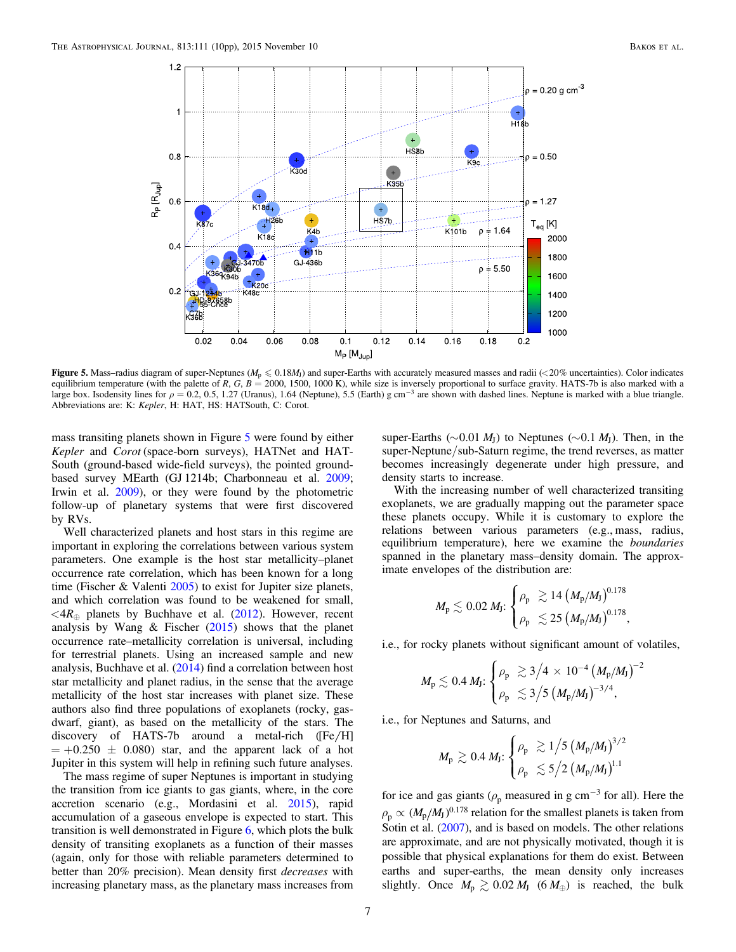<span id="page-6-0"></span>

Figure 5. Mass–radius diagram of super-Neptunes ( $M_p \le 0.18M_l$ ) and super-Earths with accurately measured masses and radii (<20% uncertainties). Color indicates equilibrium temperature (with the palette of R, G, B = 2000, 1500, 1000 K), while size is inversely proportional to surface gravity. HATS-7b is also marked with a large box. Isodensity lines for  $\rho = 0.2, 0.5, 1.27$  (Uranus), 1.64 (Neptune), 5.5 (Earth) g cm<sup>-3</sup> are shown with dashed lines. Neptune is marked with a blue triangle. Abbreviations are: K: Kepler, H: HAT, HS: HATSouth, C: Corot.

mass transiting planets shown in Figure [5](#page-6-0) were found by either Kepler and Corot (space-born surveys), HATNet and HAT-South (ground-based wide-field surveys), the pointed groundbased survey MEarth (GJ 1214b; Charbonneau et al. [2009](#page-9-38); Irwin et al. [2009](#page-9-39)), or they were found by the photometric follow-up of planetary systems that were first discovered by RVs.

Well characterized planets and host stars in this regime are important in exploring the correlations between various system parameters. One example is the host star metallicity–planet occurrence rate correlation, which has been known for a long time (Fischer & Valenti [2005](#page-9-40)) to exist for Jupiter size planets, and which correlation was found to be weakened for small,  $\langle 4R_{\oplus}$  planets by Buchhave et al. ([2012](#page-9-24)). However, recent analysis by Wang  $\&$  Fischer ([2015](#page-9-41)) shows that the planet occurrence rate–metallicity correlation is universal, including for terrestrial planets. Using an increased sample and new analysis, Buchhave et al. ([2014](#page-9-42)) find a correlation between host star metallicity and planet radius, in the sense that the average metallicity of the host star increases with planet size. These authors also find three populations of exoplanets (rocky, gasdwarf, giant), as based on the metallicity of the stars. The discovery of HATS-7b around a metal-rich  $(Fe/H]$  $= +0.250 \pm 0.080$  star, and the apparent lack of a hot Jupiter in this system will help in refining such future analyses.

The mass regime of super Neptunes is important in studying the transition from ice giants to gas giants, where, in the core accretion scenario (e.g., Mordasini et al. [2015](#page-9-43)), rapid accumulation of a gaseous envelope is expected to start. This transition is well demonstrated in Figure [6](#page-7-0), which plots the bulk density of transiting exoplanets as a function of their masses (again, only for those with reliable parameters determined to better than 20% precision). Mean density first decreases with increasing planetary mass, as the planetary mass increases from super-Earths ( $\sim$ 0.01 *M*<sub>I</sub>) to Neptunes ( $\sim$ 0.1 *M*<sub>I</sub>). Then, in the super-Neptune/sub-Saturn regime, the trend reverses, as matter becomes increasingly degenerate under high pressure, and density starts to increase.

With the increasing number of well characterized transiting exoplanets, we are gradually mapping out the parameter space these planets occupy. While it is customary to explore the relations between various parameters (e.g., mass, radius, equilibrium temperature), here we examine the boundaries spanned in the planetary mass–density domain. The approximate envelopes of the distribution are:

$$
M_{\rm p} \lesssim 0.02 \ M_{\rm J} \colon \begin{cases} \rho_{\rm p} & \gtrsim 14 \left( M_{\rm p}/M_{\rm J} \right)^{0.178} \\ \rho_{\rm p} & \lesssim 25 \left( M_{\rm p}/M_{\rm J} \right)^{0.178}, \end{cases}
$$

i.e., for rocky planets without significant amount of volatiles,

$$
M_{\rm p} \lesssim 0.4 \, M_{\rm J} \! : \! \begin{cases} \rho_{\rm p} & \gtrsim 3 \big/ 4 \, \times \, 10^{-4} \, \big( M_{\rm p}/M_{\rm J} \big)^{-2} \\ \rho_{\rm p} & \lesssim 3 \big/ 5 \, \big( M_{\rm p}/M_{\rm J} \big)^{-3/4}, \end{cases}
$$

i.e., for Neptunes and Saturns, and

$$
M_{\rm p} \gtrsim 0.4 \, M_{\rm J} \cdot \begin{cases} \rho_{\rm p} &\gtrsim 1 \big/ 5 \left( M_{\rm p}/M_{\rm J} \right)^{3/2} \\ \rho_{\rm p} &\lesssim 5 \big/ 2 \left( M_{\rm p}/M_{\rm J} \right)^{1.1} \end{cases}
$$

for ice and gas giants ( $\rho_p$  measured in g cm<sup>-3</sup> for all). Here the  $\rho_{\rm p} \propto (M_{\rm p}/M_{\rm J})^{0.178}$  relation for the smallest planets is taken from Sotin et al. ([2007](#page-9-44)), and is based on models. The other relations are approximate, and are not physically motivated, though it is possible that physical explanations for them do exist. Between earths and super-earths, the mean density only increases slightly. Once  $M_p \gtrsim 0.02 M_J$  (6  $M_\oplus$ ) is reached, the bulk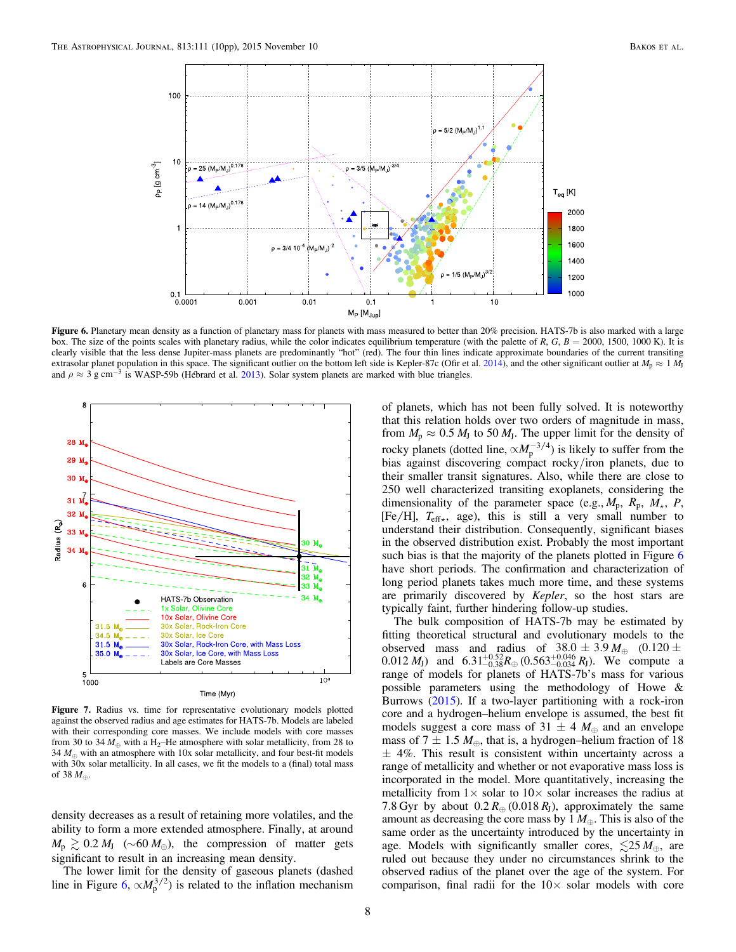<span id="page-7-0"></span>

Figure 6. Planetary mean density as a function of planetary mass for planets with mass measured to better than 20% precision. HATS-7b is also marked with a large box. The size of the points scales with planetary radius, while the color indicates equilibrium temperature (with the palette of R, G,  $B = 2000$ , 1500, 1000 K). It is clearly visible that the less dense Jupiter-mass planets are predominantly "hot" (red). The four thin lines indicate approximate boundaries of the current transiting extrasolar planet population in this space. The significant outlier on the bottom left side is Kepler-87c (Ofir et al. [2014](#page-9-46)), and the other significant outlier at  $M_p \approx 1 M_J$ and  $\rho \approx 3$  g cm<sup>-3</sup> is WASP-59b (Hébrard et al. [2013](#page-9-47)). Solar system planets are marked with blue triangles.

<span id="page-7-1"></span>

Figure 7. Radius vs. time for representative evolutionary models plotted against the observed radius and age estimates for HATS-7b. Models are labeled with their corresponding core masses. We include models with core masses from 30 to 34  $M_{\oplus}$  with a H<sub>2</sub>–He atmosphere with solar metallicity, from 28 to 34  $M_{\odot}$  with an atmosphere with 10x solar metallicity, and four best-fit models with 30x solar metallicity. In all cases, we fit the models to a (final) total mass of 38  $M_{\oplus}$ .

density decreases as a result of retaining more volatiles, and the ability to form a more extended atmosphere. Finally, at around  $M_{\rm p} \gtrsim 0.2 M_{\rm J}$  (~60  $M_{\oplus}$ ), the compression of matter gets significant to result in an increasing mean density.

The lower limit for the density of gaseous planets (dashed line in Figure [6](#page-7-0),  $\propto M_p^{3/2}$ ) is related to the inflation mechanism

of planets, which has not been fully solved. It is noteworthy that this relation holds over two orders of magnitude in mass, from  $M_p \approx 0.5 M_J$  to 50  $M_J$ . The upper limit for the density of rocky planets (dotted line,  $\propto M_p^{-3/4}$ ) is likely to suffer from the bias against discovering compact rocky/iron planets, due to their smaller transit signatures. Also, while there are close to 250 well characterized transiting exoplanets, considering the dimensionality of the parameter space (e.g.,  $M_p$ ,  $R_p$ ,  $M_{\star}$ ,  $P$ ,  $[Fe/H]$ ,  $T_{effx}$ , age), this is still a very small number to understand their distribution. Consequently, significant biases in the observed distribution exist. Probably the most important such bias is that the majority of the planets plotted in Figure [6](#page-7-0) have short periods. The confirmation and characterization of long period planets takes much more time, and these systems are primarily discovered by Kepler, so the host stars are typically faint, further hindering follow-up studies.

The bulk composition of HATS-7b may be estimated by fitting theoretical structural and evolutionary models to the observed mass and radius of  $38.0 \pm 3.9 M_{\oplus}$  (0.120  $\pm$  $(0.012 M_J)$  and  $6.31^{+0.52}_{-0.38} R_{\oplus} (0.563^{+0.046}_{-0.034} R_J)$ . We compute a range of models for planets of HATS-7b's mass for various possible parameters using the methodology of Howe & Burrows ([2015](#page-9-45)). If a two-layer partitioning with a rock-iron core and a hydrogen–helium envelope is assumed, the best fit models suggest a core mass of 31  $\pm$  4  $M_{\oplus}$  and an envelope mass of 7  $\pm$  1.5  $M_{\oplus}$ , that is, a hydrogen–helium fraction of 18  $\pm$  4%. This result is consistent within uncertainty across a range of metallicity and whether or not evaporative mass loss is incorporated in the model. More quantitatively, increasing the metallicity from  $1\times$  solar to  $10\times$  solar increases the radius at 7.8 Gyr by about  $0.2 R_{\oplus} (0.018 R_{\rm J})$ , approximately the same amount as decreasing the core mass by  $1 M_{\oplus}$ . This is also of the same order as the uncertainty introduced by the uncertainty in age. Models with significantly smaller cores,  $\leq 25 M_{\oplus}$ , are ruled out because they under no circumstances shrink to the observed radius of the planet over the age of the system. For comparison, final radii for the  $10\times$  solar models with core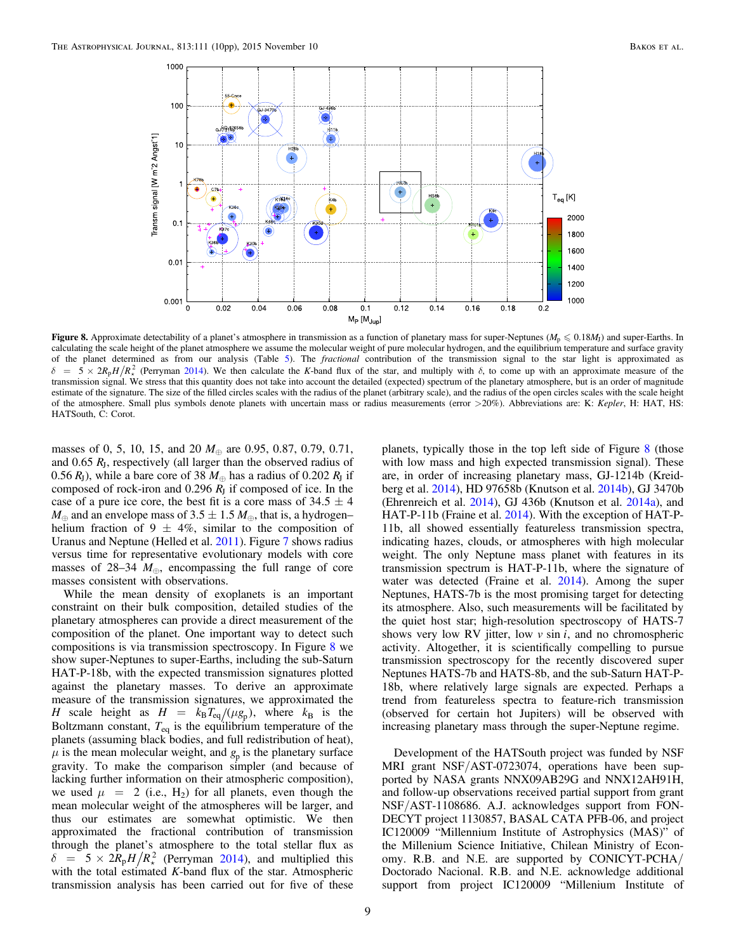<span id="page-8-0"></span>

Figure 8. Approximate detectability of a planet's atmosphere in transmission as a function of planetary mass for super-Neptunes ( $M_p \le 0.18M_l$ ) and super-Earths. In calculating the scale height of the planet atmosphere we assume the molecular weight of pure molecular hydrogen, and the equilibrium temperature and surface gravity of the planet determined as from our analysis (Table [5](#page-4-1)). The *fractional* contribution of the transmission signal to the star light is approximated as  $\delta = 5 \times 2R_pH/R_*^2$  (Perryman [2014](#page-9-49)). We then calculate the K-band flux of the star, and multiply with  $\delta$ , to come up with an approximate measure of the transmission signal. We stress that this quantity does not take into account the detailed (expected) spectrum of the planetary atmosphere, but is an order of magnitude estimate of the signature. The size of the filled circles scales with the radius of the planet (arbitrary scale), and the radius of the open circles scales with the scale height of the atmosphere. Small plus symbols denote planets with uncertain mass or radius measurements (error >20%). Abbreviations are: K: Kepler, H: HAT, HS: HATSouth, C: Corot.

masses of 0, 5, 10, 15, and 20  $M_{\oplus}$  are 0.95, 0.87, 0.79, 0.71, and 0.65 *R*J, respectively (all larger than the observed radius of 0.56  $R_J$ ), while a bare core of 38  $M_\oplus$  has a radius of 0.202  $R_J$  if composed of rock-iron and 0.296  $R<sub>J</sub>$  if composed of ice. In the case of a pure ice core, the best fit is a core mass of  $34.5 \pm 4$  $M_{\oplus}$  and an envelope mass of 3.5  $\pm$  1.5  $M_{\oplus}$ , that is, a hydrogen– helium fraction of 9  $\pm$  4%, similar to the composition of Uranus and Neptune (Helled et al. [2011](#page-9-48)). Figure [7](#page-7-1) shows radius versus time for representative evolutionary models with core masses of 28–34  $M_{\oplus}$ , encompassing the full range of core masses consistent with observations.

While the mean density of exoplanets is an important constraint on their bulk composition, detailed studies of the planetary atmospheres can provide a direct measurement of the composition of the planet. One important way to detect such compositions is via transmission spectroscopy. In Figure [8](#page-8-0) we show super-Neptunes to super-Earths, including the sub-Saturn HAT-P-18b, with the expected transmission signatures plotted against the planetary masses. To derive an approximate measure of the transmission signatures, we approximated the *H* scale height as  $H = k_B T_{eq} / (\mu g_p)$ , where  $k_B$  is the Boltzmann constant,  $T_{eq}$  is the equilibrium temperature of the planets (assuming black bodies, and full redistribution of heat),  $\mu$  is the mean molecular weight, and  $g_p$  is the planetary surface gravity. To make the comparison simpler (and because of lacking further information on their atmospheric composition), we used  $\mu$  = 2 (i.e., H<sub>2</sub>) for all planets, even though the mean molecular weight of the atmospheres will be larger, and thus our estimates are somewhat optimistic. We then approximated the fractional contribution of transmission through the planet's atmosphere to the total stellar flux as  $\delta = 5 \times 2R_{p}H/R_{\star}^{2}$  (Perryman [2014](#page-9-49)), and multiplied this with the total estimated K-band flux of the star. Atmospheric transmission analysis has been carried out for five of these

planets, typically those in the top left side of Figure [8](#page-8-0) (those with low mass and high expected transmission signal). These are, in order of increasing planetary mass, GJ-1214b (Kreidberg et al. [2014](#page-9-50)), HD 97658b (Knutson et al. [2014b](#page-9-51)), GJ 3470b (Ehrenreich et al. [2014](#page-9-52)), GJ 436b (Knutson et al. [2014a](#page-9-53)), and HAT-P-11b (Fraine et al. [2014](#page-9-54)). With the exception of HAT-P-11b, all showed essentially featureless transmission spectra, indicating hazes, clouds, or atmospheres with high molecular weight. The only Neptune mass planet with features in its transmission spectrum is HAT-P-11b, where the signature of water was detected (Fraine et al. [2014](#page-9-54)). Among the super Neptunes, HATS-7b is the most promising target for detecting its atmosphere. Also, such measurements will be facilitated by the quiet host star; high-resolution spectroscopy of HATS-7 shows very low RV jitter, low  $\nu$  sin  $i$ , and no chromospheric activity. Altogether, it is scientifically compelling to pursue transmission spectroscopy for the recently discovered super Neptunes HATS-7b and HATS-8b, and the sub-Saturn HAT-P-18b, where relatively large signals are expected. Perhaps a trend from featureless spectra to feature-rich transmission (observed for certain hot Jupiters) will be observed with increasing planetary mass through the super-Neptune regime.

Development of the HATSouth project was funded by NSF MRI grant NSF/AST-0723074, operations have been supported by NASA grants NNX09AB29G and NNX12AH91H, and follow-up observations received partial support from grant NSF/AST-1108686. A.J. acknowledges support from FON-DECYT project 1130857, BASAL CATA PFB-06, and project IC120009 "Millennium Institute of Astrophysics (MAS)" of the Millenium Science Initiative, Chilean Ministry of Economy. R.B. and N.E. are supported by CONICYT-PCHA/ Doctorado Nacional. R.B. and N.E. acknowledge additional support from project IC120009 "Millenium Institute of